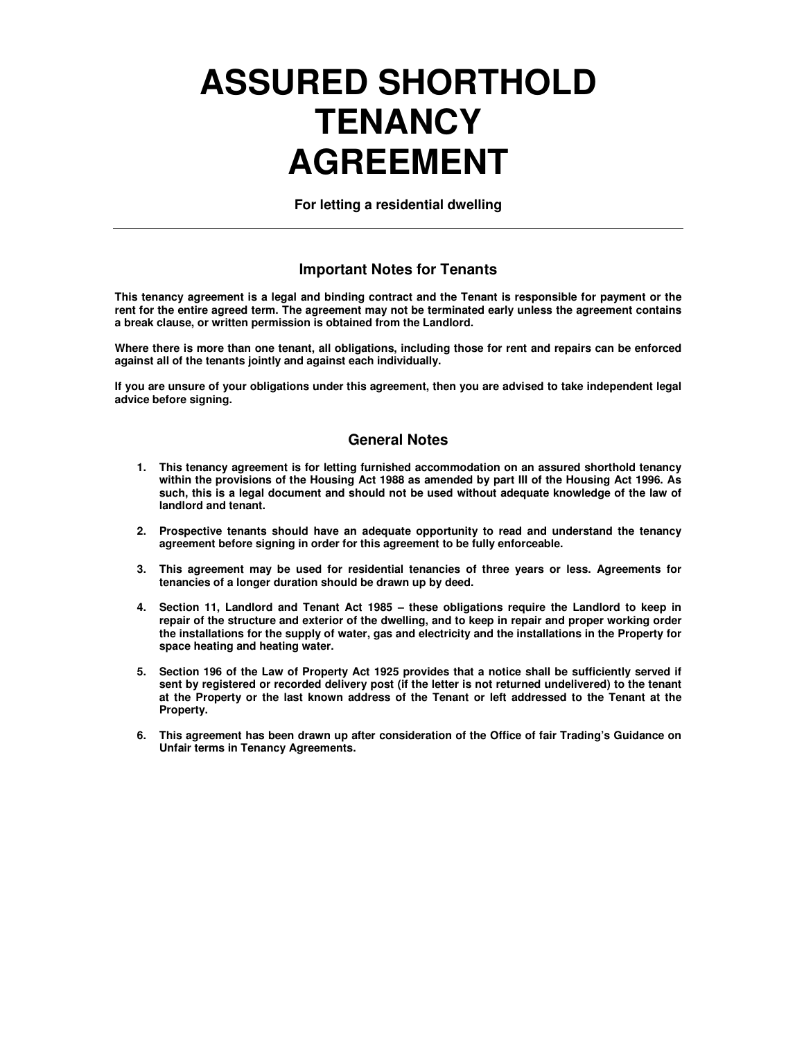# **ASSURED SHORTHOLD TENANCY AGREEMENT**

**For letting a residential dwelling** 

#### **Important Notes for Tenants**

**This tenancy agreement is a legal and binding contract and the Tenant is responsible for payment or the rent for the entire agreed term. The agreement may not be terminated early unless the agreement contains a break clause, or written permission is obtained from the Landlord.** 

**Where there is more than one tenant, all obligations, including those for rent and repairs can be enforced against all of the tenants jointly and against each individually.** 

**If you are unsure of your obligations under this agreement, then you are advised to take independent legal advice before signing.** 

#### **General Notes**

- **1. This tenancy agreement is for letting furnished accommodation on an assured shorthold tenancy within the provisions of the Housing Act 1988 as amended by part III of the Housing Act 1996. As such, this is a legal document and should not be used without adequate knowledge of the law of landlord and tenant.**
- **2. Prospective tenants should have an adequate opportunity to read and understand the tenancy agreement before signing in order for this agreement to be fully enforceable.**
- **3. This agreement may be used for residential tenancies of three years or less. Agreements for tenancies of a longer duration should be drawn up by deed.**
- **4. Section 11, Landlord and Tenant Act 1985 these obligations require the Landlord to keep in repair of the structure and exterior of the dwelling, and to keep in repair and proper working order the installations for the supply of water, gas and electricity and the installations in the Property for space heating and heating water.**
- **5. Section 196 of the Law of Property Act 1925 provides that a notice shall be sufficiently served if sent by registered or recorded delivery post (if the letter is not returned undelivered) to the tenant at the Property or the last known address of the Tenant or left addressed to the Tenant at the Property.**
- **6. This agreement has been drawn up after consideration of the Office of fair Trading's Guidance on Unfair terms in Tenancy Agreements.**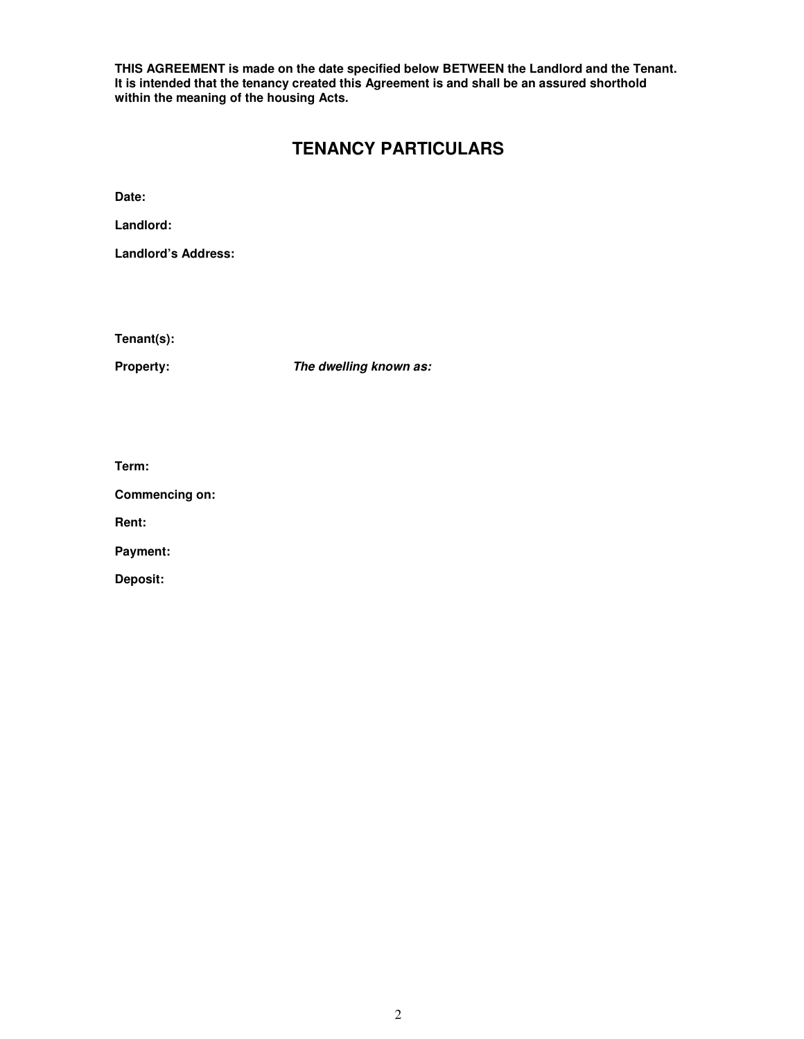**THIS AGREEMENT is made on the date specified below BETWEEN the Landlord and the Tenant. It is intended that the tenancy created this Agreement is and shall be an assured shorthold within the meaning of the housing Acts.** 

## **TENANCY PARTICULARS**

**Date:** 

**Landlord:** 

**Landlord's Address:** 

**Tenant(s):** 

**Property: The dwelling known as:**

**Term:** 

**Commencing on:** 

**Rent:** 

**Payment:** 

**Deposit:**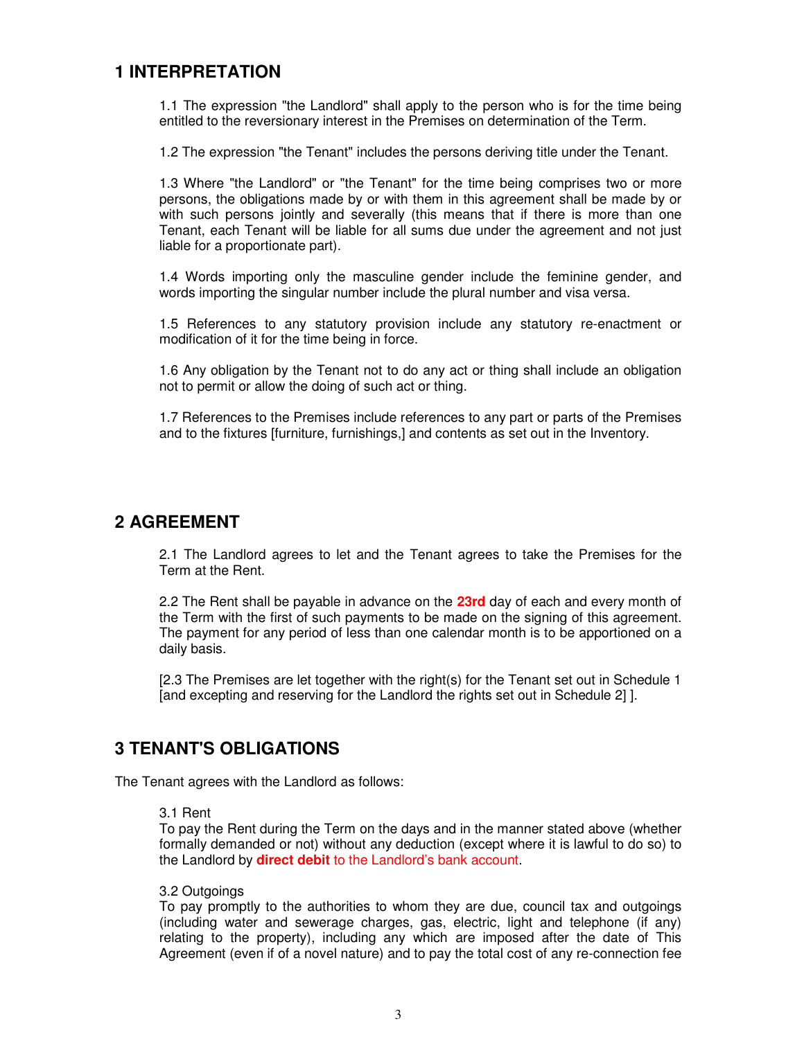## **1 INTERPRETATION**

1.1 The expression "the Landlord" shall apply to the person who is for the time being entitled to the reversionary interest in the Premises on determination of the Term.

1.2 The expression "the Tenant" includes the persons deriving title under the Tenant.

1.3 Where "the Landlord" or "the Tenant" for the time being comprises two or more persons, the obligations made by or with them in this agreement shall be made by or with such persons jointly and severally (this means that if there is more than one Tenant, each Tenant will be liable for all sums due under the agreement and not just liable for a proportionate part).

1.4 Words importing only the masculine gender include the feminine gender, and words importing the singular number include the plural number and visa versa.

1.5 References to any statutory provision include any statutory re-enactment or modification of it for the time being in force.

1.6 Any obligation by the Tenant not to do any act or thing shall include an obligation not to permit or allow the doing of such act or thing.

1.7 References to the Premises include references to any part or parts of the Premises and to the fixtures [furniture, furnishings,] and contents as set out in the Inventory.

## **2 AGREEMENT**

2.1 The Landlord agrees to let and the Tenant agrees to take the Premises for the Term at the Rent.

2.2 The Rent shall be payable in advance on the **23rd** day of each and every month of the Term with the first of such payments to be made on the signing of this agreement. The payment for any period of less than one calendar month is to be apportioned on a daily basis.

[2.3 The Premises are let together with the right(s) for the Tenant set out in Schedule 1 [and excepting and reserving for the Landlord the rights set out in Schedule 2] ].

## **3 TENANT'S OBLIGATIONS**

The Tenant agrees with the Landlord as follows:

#### 3.1 Rent

To pay the Rent during the Term on the days and in the manner stated above (whether formally demanded or not) without any deduction (except where it is lawful to do so) to the Landlord by **direct debit** to the Landlord's bank account.

#### 3.2 Outgoings

To pay promptly to the authorities to whom they are due, council tax and outgoings (including water and sewerage charges, gas, electric, light and telephone (if any) relating to the property), including any which are imposed after the date of This Agreement (even if of a novel nature) and to pay the total cost of any re-connection fee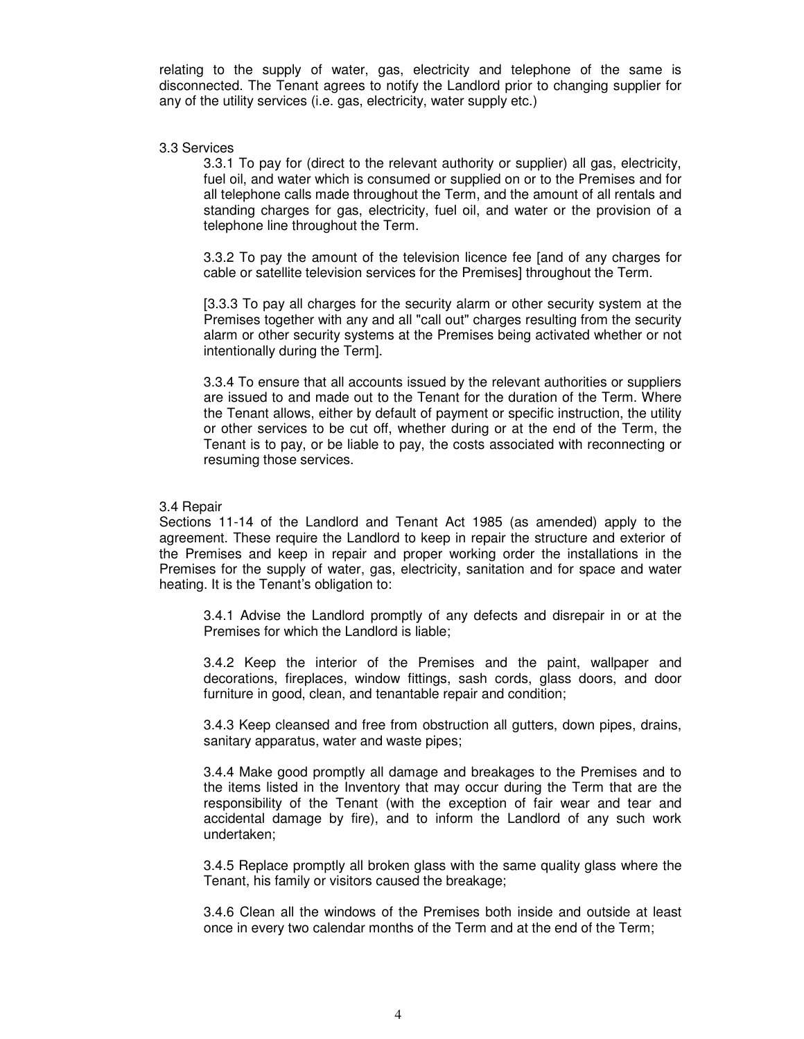relating to the supply of water, gas, electricity and telephone of the same is disconnected. The Tenant agrees to notify the Landlord prior to changing supplier for any of the utility services (i.e. gas, electricity, water supply etc.)

#### 3.3 Services

3.3.1 To pay for (direct to the relevant authority or supplier) all gas, electricity, fuel oil, and water which is consumed or supplied on or to the Premises and for all telephone calls made throughout the Term, and the amount of all rentals and standing charges for gas, electricity, fuel oil, and water or the provision of a telephone line throughout the Term.

3.3.2 To pay the amount of the television licence fee [and of any charges for cable or satellite television services for the Premises] throughout the Term.

[3.3.3 To pay all charges for the security alarm or other security system at the Premises together with any and all "call out" charges resulting from the security alarm or other security systems at the Premises being activated whether or not intentionally during the Term].

3.3.4 To ensure that all accounts issued by the relevant authorities or suppliers are issued to and made out to the Tenant for the duration of the Term. Where the Tenant allows, either by default of payment or specific instruction, the utility or other services to be cut off, whether during or at the end of the Term, the Tenant is to pay, or be liable to pay, the costs associated with reconnecting or resuming those services.

#### 3.4 Repair

Sections 11-14 of the Landlord and Tenant Act 1985 (as amended) apply to the agreement. These require the Landlord to keep in repair the structure and exterior of the Premises and keep in repair and proper working order the installations in the Premises for the supply of water, gas, electricity, sanitation and for space and water heating. It is the Tenant's obligation to:

3.4.1 Advise the Landlord promptly of any defects and disrepair in or at the Premises for which the Landlord is liable;

3.4.2 Keep the interior of the Premises and the paint, wallpaper and decorations, fireplaces, window fittings, sash cords, glass doors, and door furniture in good, clean, and tenantable repair and condition;

3.4.3 Keep cleansed and free from obstruction all gutters, down pipes, drains, sanitary apparatus, water and waste pipes;

3.4.4 Make good promptly all damage and breakages to the Premises and to the items listed in the Inventory that may occur during the Term that are the responsibility of the Tenant (with the exception of fair wear and tear and accidental damage by fire), and to inform the Landlord of any such work undertaken;

3.4.5 Replace promptly all broken glass with the same quality glass where the Tenant, his family or visitors caused the breakage;

3.4.6 Clean all the windows of the Premises both inside and outside at least once in every two calendar months of the Term and at the end of the Term;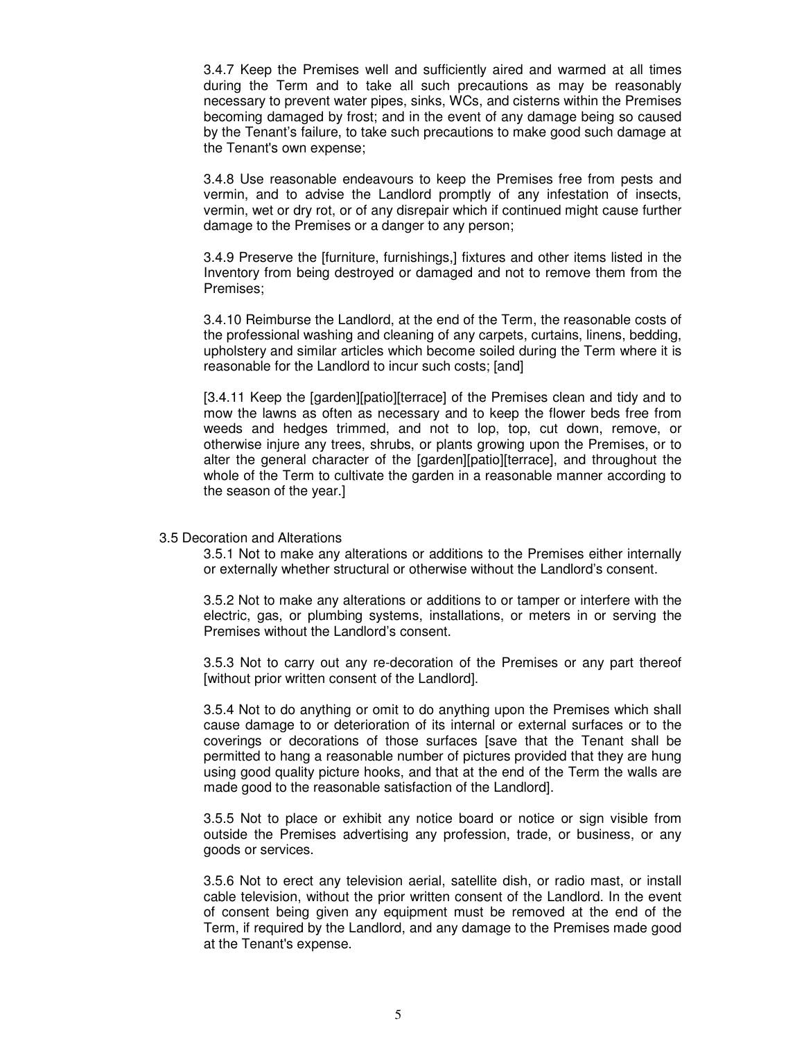3.4.7 Keep the Premises well and sufficiently aired and warmed at all times during the Term and to take all such precautions as may be reasonably necessary to prevent water pipes, sinks, WCs, and cisterns within the Premises becoming damaged by frost; and in the event of any damage being so caused by the Tenant's failure, to take such precautions to make good such damage at the Tenant's own expense;

3.4.8 Use reasonable endeavours to keep the Premises free from pests and vermin, and to advise the Landlord promptly of any infestation of insects, vermin, wet or dry rot, or of any disrepair which if continued might cause further damage to the Premises or a danger to any person;

3.4.9 Preserve the [furniture, furnishings,] fixtures and other items listed in the Inventory from being destroyed or damaged and not to remove them from the Premises;

3.4.10 Reimburse the Landlord, at the end of the Term, the reasonable costs of the professional washing and cleaning of any carpets, curtains, linens, bedding, upholstery and similar articles which become soiled during the Term where it is reasonable for the Landlord to incur such costs; [and]

[3.4.11 Keep the [garden][patio][terrace] of the Premises clean and tidy and to mow the lawns as often as necessary and to keep the flower beds free from weeds and hedges trimmed, and not to lop, top, cut down, remove, or otherwise injure any trees, shrubs, or plants growing upon the Premises, or to alter the general character of the [garden][patio][terrace], and throughout the whole of the Term to cultivate the garden in a reasonable manner according to the season of the year.]

#### 3.5 Decoration and Alterations

3.5.1 Not to make any alterations or additions to the Premises either internally or externally whether structural or otherwise without the Landlord's consent.

3.5.2 Not to make any alterations or additions to or tamper or interfere with the electric, gas, or plumbing systems, installations, or meters in or serving the Premises without the Landlord's consent.

3.5.3 Not to carry out any re-decoration of the Premises or any part thereof [without prior written consent of the Landlord].

3.5.4 Not to do anything or omit to do anything upon the Premises which shall cause damage to or deterioration of its internal or external surfaces or to the coverings or decorations of those surfaces [save that the Tenant shall be permitted to hang a reasonable number of pictures provided that they are hung using good quality picture hooks, and that at the end of the Term the walls are made good to the reasonable satisfaction of the Landlord].

3.5.5 Not to place or exhibit any notice board or notice or sign visible from outside the Premises advertising any profession, trade, or business, or any goods or services.

3.5.6 Not to erect any television aerial, satellite dish, or radio mast, or install cable television, without the prior written consent of the Landlord. In the event of consent being given any equipment must be removed at the end of the Term, if required by the Landlord, and any damage to the Premises made good at the Tenant's expense.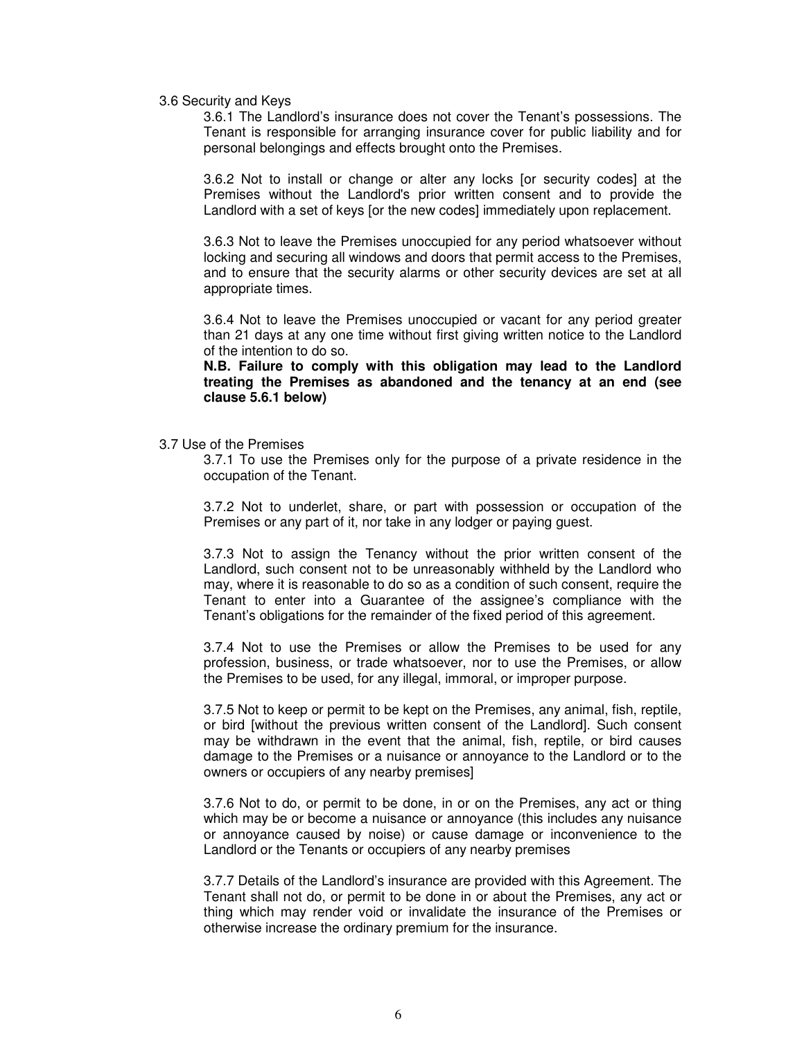#### 3.6 Security and Keys

3.6.1 The Landlord's insurance does not cover the Tenant's possessions. The Tenant is responsible for arranging insurance cover for public liability and for personal belongings and effects brought onto the Premises.

3.6.2 Not to install or change or alter any locks [or security codes] at the Premises without the Landlord's prior written consent and to provide the Landlord with a set of keys [or the new codes] immediately upon replacement.

3.6.3 Not to leave the Premises unoccupied for any period whatsoever without locking and securing all windows and doors that permit access to the Premises, and to ensure that the security alarms or other security devices are set at all appropriate times.

3.6.4 Not to leave the Premises unoccupied or vacant for any period greater than 21 days at any one time without first giving written notice to the Landlord of the intention to do so.

**N.B. Failure to comply with this obligation may lead to the Landlord treating the Premises as abandoned and the tenancy at an end (see clause 5.6.1 below)** 

3.7 Use of the Premises

3.7.1 To use the Premises only for the purpose of a private residence in the occupation of the Tenant.

3.7.2 Not to underlet, share, or part with possession or occupation of the Premises or any part of it, nor take in any lodger or paying guest.

3.7.3 Not to assign the Tenancy without the prior written consent of the Landlord, such consent not to be unreasonably withheld by the Landlord who may, where it is reasonable to do so as a condition of such consent, require the Tenant to enter into a Guarantee of the assignee's compliance with the Tenant's obligations for the remainder of the fixed period of this agreement.

3.7.4 Not to use the Premises or allow the Premises to be used for any profession, business, or trade whatsoever, nor to use the Premises, or allow the Premises to be used, for any illegal, immoral, or improper purpose.

3.7.5 Not to keep or permit to be kept on the Premises, any animal, fish, reptile, or bird [without the previous written consent of the Landlord]. Such consent may be withdrawn in the event that the animal, fish, reptile, or bird causes damage to the Premises or a nuisance or annoyance to the Landlord or to the owners or occupiers of any nearby premises]

3.7.6 Not to do, or permit to be done, in or on the Premises, any act or thing which may be or become a nuisance or annoyance (this includes any nuisance or annoyance caused by noise) or cause damage or inconvenience to the Landlord or the Tenants or occupiers of any nearby premises

3.7.7 Details of the Landlord's insurance are provided with this Agreement. The Tenant shall not do, or permit to be done in or about the Premises, any act or thing which may render void or invalidate the insurance of the Premises or otherwise increase the ordinary premium for the insurance.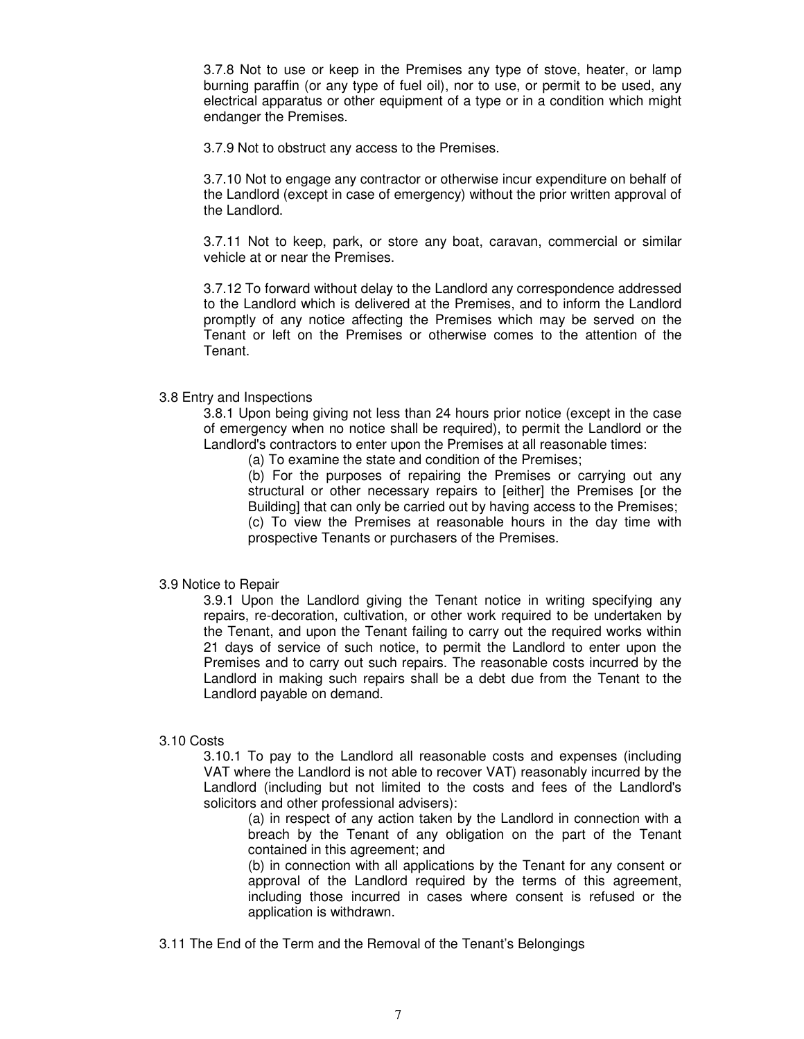3.7.8 Not to use or keep in the Premises any type of stove, heater, or lamp burning paraffin (or any type of fuel oil), nor to use, or permit to be used, any electrical apparatus or other equipment of a type or in a condition which might endanger the Premises.

3.7.9 Not to obstruct any access to the Premises.

3.7.10 Not to engage any contractor or otherwise incur expenditure on behalf of the Landlord (except in case of emergency) without the prior written approval of the Landlord.

3.7.11 Not to keep, park, or store any boat, caravan, commercial or similar vehicle at or near the Premises.

3.7.12 To forward without delay to the Landlord any correspondence addressed to the Landlord which is delivered at the Premises, and to inform the Landlord promptly of any notice affecting the Premises which may be served on the Tenant or left on the Premises or otherwise comes to the attention of the **Tenant** 

#### 3.8 Entry and Inspections

3.8.1 Upon being giving not less than 24 hours prior notice (except in the case of emergency when no notice shall be required), to permit the Landlord or the Landlord's contractors to enter upon the Premises at all reasonable times:

(a) To examine the state and condition of the Premises;

(b) For the purposes of repairing the Premises or carrying out any structural or other necessary repairs to [either] the Premises [or the Building] that can only be carried out by having access to the Premises; (c) To view the Premises at reasonable hours in the day time with prospective Tenants or purchasers of the Premises.

#### 3.9 Notice to Repair

3.9.1 Upon the Landlord giving the Tenant notice in writing specifying any repairs, re-decoration, cultivation, or other work required to be undertaken by the Tenant, and upon the Tenant failing to carry out the required works within 21 days of service of such notice, to permit the Landlord to enter upon the Premises and to carry out such repairs. The reasonable costs incurred by the Landlord in making such repairs shall be a debt due from the Tenant to the Landlord payable on demand.

#### 3.10 Costs

3.10.1 To pay to the Landlord all reasonable costs and expenses (including VAT where the Landlord is not able to recover VAT) reasonably incurred by the Landlord (including but not limited to the costs and fees of the Landlord's solicitors and other professional advisers):

(a) in respect of any action taken by the Landlord in connection with a breach by the Tenant of any obligation on the part of the Tenant contained in this agreement; and

(b) in connection with all applications by the Tenant for any consent or approval of the Landlord required by the terms of this agreement, including those incurred in cases where consent is refused or the application is withdrawn.

3.11 The End of the Term and the Removal of the Tenant's Belongings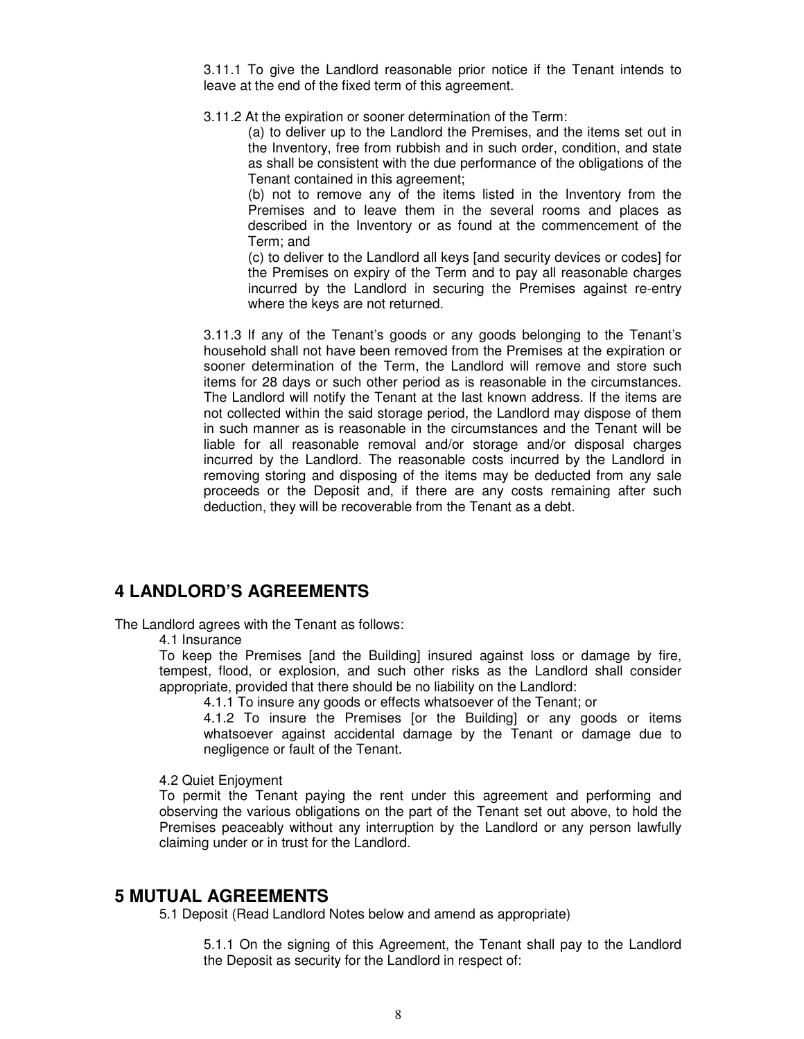3.11.1 To give the Landlord reasonable prior notice if the Tenant intends to leave at the end of the fixed term of this agreement.

3.11.2 At the expiration or sooner determination of the Term:

(a) to deliver up to the Landlord the Premises, and the items set out in the Inventory, free from rubbish and in such order, condition, and state as shall be consistent with the due performance of the obligations of the Tenant contained in this agreement;

(b) not to remove any of the items listed in the Inventory from the Premises and to leave them in the several rooms and places as described in the Inventory or as found at the commencement of the Term; and

(c) to deliver to the Landlord all keys [and security devices or codes] for the Premises on expiry of the Term and to pay all reasonable charges incurred by the Landlord in securing the Premises against re-entry where the keys are not returned.

3.11.3 If any of the Tenant's goods or any goods belonging to the Tenant's household shall not have been removed from the Premises at the expiration or sooner determination of the Term, the Landlord will remove and store such items for 28 days or such other period as is reasonable in the circumstances. The Landlord will notify the Tenant at the last known address. If the items are not collected within the said storage period, the Landlord may dispose of them in such manner as is reasonable in the circumstances and the Tenant will be liable for all reasonable removal and/or storage and/or disposal charges incurred by the Landlord. The reasonable costs incurred by the Landlord in removing storing and disposing of the items may be deducted from any sale proceeds or the Deposit and, if there are any costs remaining after such deduction, they will be recoverable from the Tenant as a debt.

## **4 LANDLORD'S AGREEMENTS**

The Landlord agrees with the Tenant as follows:

4.1 Insurance

To keep the Premises [and the Building] insured against loss or damage by fire, tempest, flood, or explosion, and such other risks as the Landlord shall consider appropriate, provided that there should be no liability on the Landlord:

4.1.1 To insure any goods or effects whatsoever of the Tenant; or

4.1.2 To insure the Premises [or the Building] or any goods or items whatsoever against accidental damage by the Tenant or damage due to negligence or fault of the Tenant.

#### 4.2 Quiet Enjoyment

To permit the Tenant paying the rent under this agreement and performing and observing the various obligations on the part of the Tenant set out above, to hold the Premises peaceably without any interruption by the Landlord or any person lawfully claiming under or in trust for the Landlord.

### **5 MUTUAL AGREEMENTS**

5.1 Deposit (Read Landlord Notes below and amend as appropriate)

5.1.1 On the signing of this Agreement, the Tenant shall pay to the Landlord the Deposit as security for the Landlord in respect of: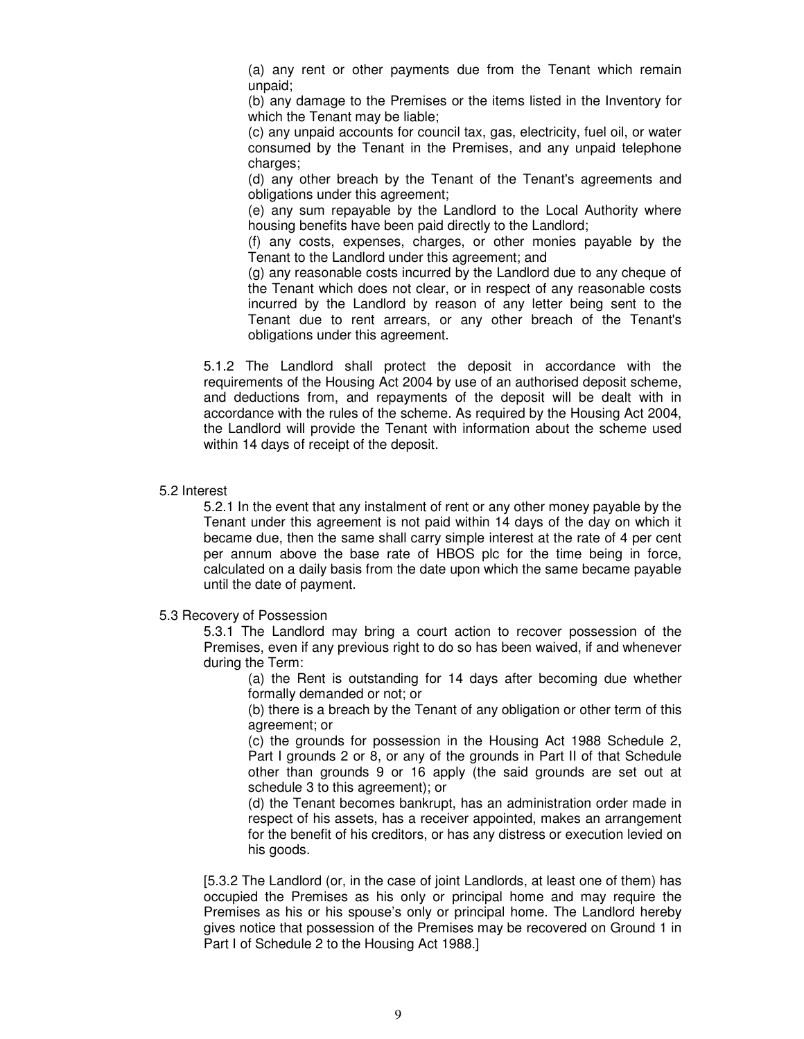(a) any rent or other payments due from the Tenant which remain unpaid;

(b) any damage to the Premises or the items listed in the Inventory for which the Tenant may be liable;

(c) any unpaid accounts for council tax, gas, electricity, fuel oil, or water consumed by the Tenant in the Premises, and any unpaid telephone charges;

(d) any other breach by the Tenant of the Tenant's agreements and obligations under this agreement;

(e) any sum repayable by the Landlord to the Local Authority where housing benefits have been paid directly to the Landlord;

(f) any costs, expenses, charges, or other monies payable by the Tenant to the Landlord under this agreement; and

(g) any reasonable costs incurred by the Landlord due to any cheque of the Tenant which does not clear, or in respect of any reasonable costs incurred by the Landlord by reason of any letter being sent to the Tenant due to rent arrears, or any other breach of the Tenant's obligations under this agreement.

5.1.2 The Landlord shall protect the deposit in accordance with the requirements of the Housing Act 2004 by use of an authorised deposit scheme, and deductions from, and repayments of the deposit will be dealt with in accordance with the rules of the scheme. As required by the Housing Act 2004, the Landlord will provide the Tenant with information about the scheme used within 14 days of receipt of the deposit.

#### 5.2 Interest

5.2.1 In the event that any instalment of rent or any other money payable by the Tenant under this agreement is not paid within 14 days of the day on which it became due, then the same shall carry simple interest at the rate of 4 per cent per annum above the base rate of HBOS plc for the time being in force, calculated on a daily basis from the date upon which the same became payable until the date of payment.

5.3 Recovery of Possession

5.3.1 The Landlord may bring a court action to recover possession of the Premises, even if any previous right to do so has been waived, if and whenever during the Term:

(a) the Rent is outstanding for 14 days after becoming due whether formally demanded or not; or

(b) there is a breach by the Tenant of any obligation or other term of this agreement; or

(c) the grounds for possession in the Housing Act 1988 Schedule 2, Part I grounds 2 or 8, or any of the grounds in Part II of that Schedule other than grounds 9 or 16 apply (the said grounds are set out at schedule 3 to this agreement); or

(d) the Tenant becomes bankrupt, has an administration order made in respect of his assets, has a receiver appointed, makes an arrangement for the benefit of his creditors, or has any distress or execution levied on his goods.

[5.3.2 The Landlord (or, in the case of joint Landlords, at least one of them) has occupied the Premises as his only or principal home and may require the Premises as his or his spouse's only or principal home. The Landlord hereby gives notice that possession of the Premises may be recovered on Ground 1 in Part I of Schedule 2 to the Housing Act 1988.]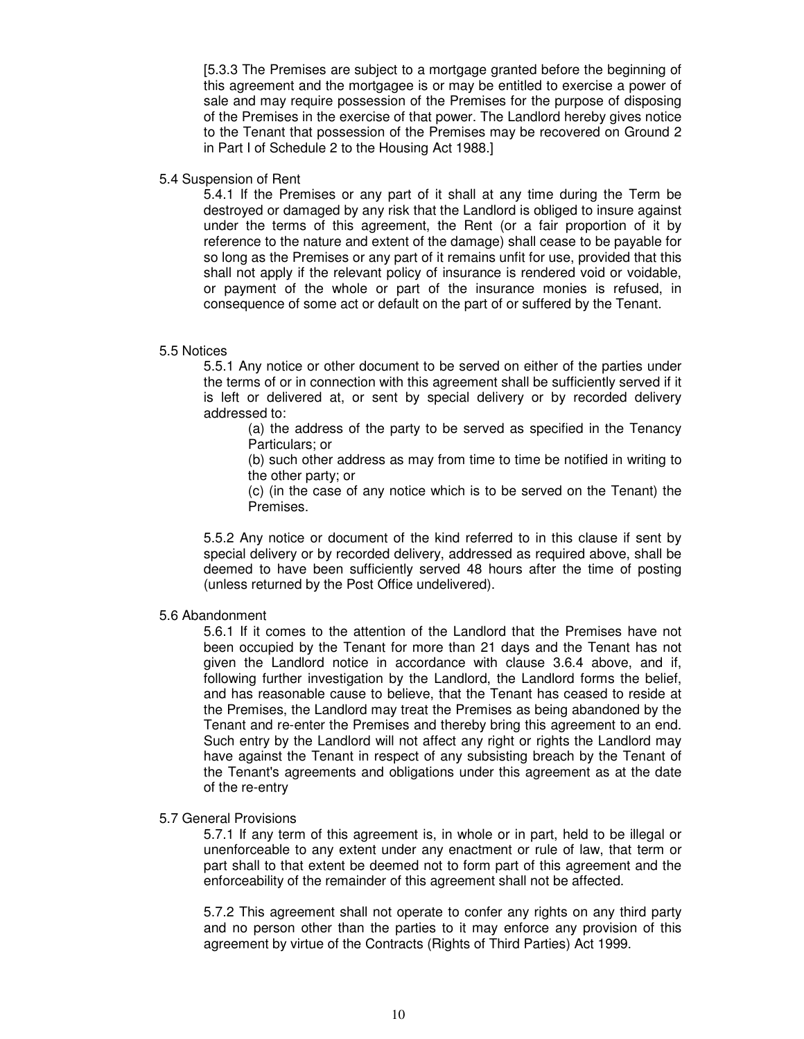[5.3.3 The Premises are subject to a mortgage granted before the beginning of this agreement and the mortgagee is or may be entitled to exercise a power of sale and may require possession of the Premises for the purpose of disposing of the Premises in the exercise of that power. The Landlord hereby gives notice to the Tenant that possession of the Premises may be recovered on Ground 2 in Part I of Schedule 2 to the Housing Act 1988.]

#### 5.4 Suspension of Rent

5.4.1 If the Premises or any part of it shall at any time during the Term be destroyed or damaged by any risk that the Landlord is obliged to insure against under the terms of this agreement, the Rent (or a fair proportion of it by reference to the nature and extent of the damage) shall cease to be payable for so long as the Premises or any part of it remains unfit for use, provided that this shall not apply if the relevant policy of insurance is rendered void or voidable, or payment of the whole or part of the insurance monies is refused, in consequence of some act or default on the part of or suffered by the Tenant.

#### 5.5 Notices

5.5.1 Any notice or other document to be served on either of the parties under the terms of or in connection with this agreement shall be sufficiently served if it is left or delivered at, or sent by special delivery or by recorded delivery addressed to:

(a) the address of the party to be served as specified in the Tenancy Particulars; or

(b) such other address as may from time to time be notified in writing to the other party; or

(c) (in the case of any notice which is to be served on the Tenant) the Premises.

5.5.2 Any notice or document of the kind referred to in this clause if sent by special delivery or by recorded delivery, addressed as required above, shall be deemed to have been sufficiently served 48 hours after the time of posting (unless returned by the Post Office undelivered).

#### 5.6 Abandonment

5.6.1 If it comes to the attention of the Landlord that the Premises have not been occupied by the Tenant for more than 21 days and the Tenant has not given the Landlord notice in accordance with clause 3.6.4 above, and if, following further investigation by the Landlord, the Landlord forms the belief, and has reasonable cause to believe, that the Tenant has ceased to reside at the Premises, the Landlord may treat the Premises as being abandoned by the Tenant and re-enter the Premises and thereby bring this agreement to an end. Such entry by the Landlord will not affect any right or rights the Landlord may have against the Tenant in respect of any subsisting breach by the Tenant of the Tenant's agreements and obligations under this agreement as at the date of the re-entry

#### 5.7 General Provisions

5.7.1 If any term of this agreement is, in whole or in part, held to be illegal or unenforceable to any extent under any enactment or rule of law, that term or part shall to that extent be deemed not to form part of this agreement and the enforceability of the remainder of this agreement shall not be affected.

5.7.2 This agreement shall not operate to confer any rights on any third party and no person other than the parties to it may enforce any provision of this agreement by virtue of the Contracts (Rights of Third Parties) Act 1999.